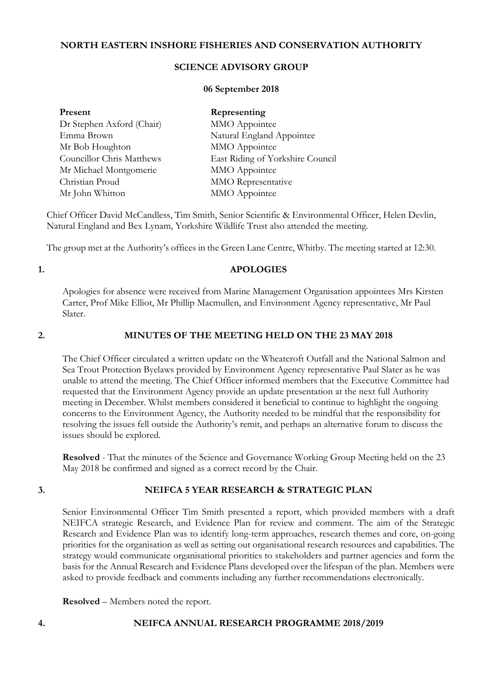# **NORTH EASTERN INSHORE FISHERIES AND CONSERVATION AUTHORITY**

# **SCIENCE ADVISORY GROUP**

## **06 September 2018**

| Present                   | Representing                     |
|---------------------------|----------------------------------|
| Dr Stephen Axford (Chair) | MMO Appointee                    |
| Emma Brown                | Natural England Appointee        |
| Mr Bob Houghton           | MMO Appointee                    |
| Councillor Chris Matthews | East Riding of Yorkshire Council |
| Mr Michael Montgomerie    | MMO Appointee                    |
| Christian Proud           | MMO Representative               |
| Mr John Whitton           | MMO Appointee                    |

Chief Officer David McCandless, Tim Smith, Senior Scientific & Environmental Officer, Helen Devlin, Natural England and Bex Lynam, Yorkshire Wildlife Trust also attended the meeting.

The group met at the Authority's offices in the Green Lane Centre, Whitby. The meeting started at 12:30.

# **1. APOLOGIES**

Apologies for absence were received from Marine Management Organisation appointees Mrs Kirsten Carter, Prof Mike Elliot, Mr Phillip Macmullen, and Environment Agency representative, Mr Paul Slater.

# **2. MINUTES OF THE MEETING HELD ON THE 23 MAY 2018**

The Chief Officer circulated a written update on the Wheatcroft Outfall and the National Salmon and Sea Trout Protection Byelaws provided by Environment Agency representative Paul Slater as he was unable to attend the meeting. The Chief Officer informed members that the Executive Committee had requested that the Environment Agency provide an update presentation at the next full Authority meeting in December. Whilst members considered it beneficial to continue to highlight the ongoing concerns to the Environment Agency, the Authority needed to be mindful that the responsibility for resolving the issues fell outside the Authority's remit, and perhaps an alternative forum to discuss the issues should be explored.

**Resolved** - That the minutes of the Science and Governance Working Group Meeting held on the 23 May 2018 be confirmed and signed as a correct record by the Chair.

# **3. NEIFCA 5 YEAR RESEARCH & STRATEGIC PLAN**

Senior Environmental Officer Tim Smith presented a report, which provided members with a draft NEIFCA strategic Research, and Evidence Plan for review and comment. The aim of the Strategic Research and Evidence Plan was to identify long-term approaches, research themes and core, on-going priorities for the organisation as well as setting out organisational research resources and capabilities. The strategy would communicate organisational priorities to stakeholders and partner agencies and form the basis for the Annual Research and Evidence Plans developed over the lifespan of the plan. Members were asked to provide feedback and comments including any further recommendations electronically.

**Resolved** – Members noted the report.

# **4. NEIFCA ANNUAL RESEARCH PROGRAMME 2018/2019**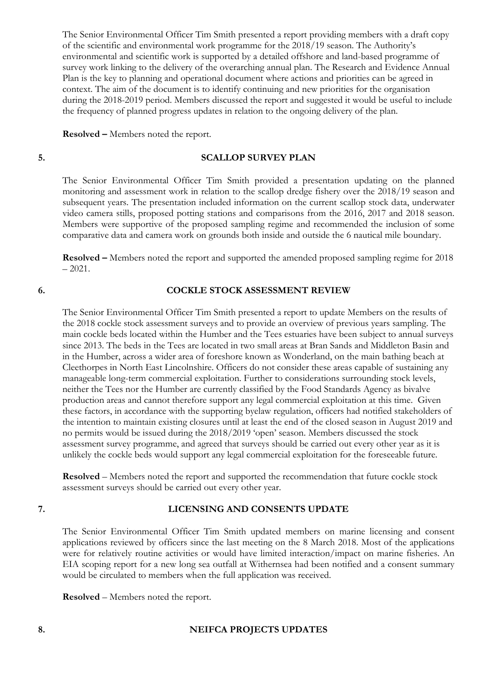The Senior Environmental Officer Tim Smith presented a report providing members with a draft copy of the scientific and environmental work programme for the 2018/19 season. The Authority's environmental and scientific work is supported by a detailed offshore and land-based programme of survey work linking to the delivery of the overarching annual plan. The Research and Evidence Annual Plan is the key to planning and operational document where actions and priorities can be agreed in context. The aim of the document is to identify continuing and new priorities for the organisation during the 2018-2019 period. Members discussed the report and suggested it would be useful to include the frequency of planned progress updates in relation to the ongoing delivery of the plan.

**Resolved –** Members noted the report.

### **5. SCALLOP SURVEY PLAN**

The Senior Environmental Officer Tim Smith provided a presentation updating on the planned monitoring and assessment work in relation to the scallop dredge fishery over the 2018/19 season and subsequent years. The presentation included information on the current scallop stock data, underwater video camera stills, proposed potting stations and comparisons from the 2016, 2017 and 2018 season. Members were supportive of the proposed sampling regime and recommended the inclusion of some comparative data and camera work on grounds both inside and outside the 6 nautical mile boundary.

**Resolved –** Members noted the report and supported the amended proposed sampling regime for 2018  $-2021.$ 

### **6. COCKLE STOCK ASSESSMENT REVIEW**

The Senior Environmental Officer Tim Smith presented a report to update Members on the results of the 2018 cockle stock assessment surveys and to provide an overview of previous years sampling. The main cockle beds located within the Humber and the Tees estuaries have been subject to annual surveys since 2013. The beds in the Tees are located in two small areas at Bran Sands and Middleton Basin and in the Humber, across a wider area of foreshore known as Wonderland, on the main bathing beach at Cleethorpes in North East Lincolnshire. Officers do not consider these areas capable of sustaining any manageable long-term commercial exploitation. Further to considerations surrounding stock levels, neither the Tees nor the Humber are currently classified by the Food Standards Agency as bivalve production areas and cannot therefore support any legal commercial exploitation at this time. Given these factors, in accordance with the supporting byelaw regulation, officers had notified stakeholders of the intention to maintain existing closures until at least the end of the closed season in August 2019 and no permits would be issued during the 2018/2019 'open' season. Members discussed the stock assessment survey programme, and agreed that surveys should be carried out every other year as it is unlikely the cockle beds would support any legal commercial exploitation for the foreseeable future.

**Resolved** – Members noted the report and supported the recommendation that future cockle stock assessment surveys should be carried out every other year.

#### **7. LICENSING AND CONSENTS UPDATE**

The Senior Environmental Officer Tim Smith updated members on marine licensing and consent applications reviewed by officers since the last meeting on the 8 March 2018. Most of the applications were for relatively routine activities or would have limited interaction/impact on marine fisheries. An EIA scoping report for a new long sea outfall at Withernsea had been notified and a consent summary would be circulated to members when the full application was received.

**Resolved** – Members noted the report.